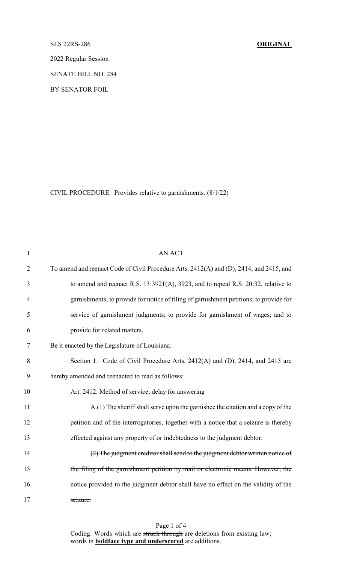SLS 22RS-286 **ORIGINAL**

2022 Regular Session

SENATE BILL NO. 284

BY SENATOR FOIL

CIVIL PROCEDURE. Provides relative to garnishments. (8/1/22)

| $\mathbf{1}$   | <b>AN ACT</b>                                                                           |
|----------------|-----------------------------------------------------------------------------------------|
| $\overline{2}$ | To amend and reenact Code of Civil Procedure Arts. 2412(A) and (D), 2414, and 2415, and |
| 3              | to amend and reenact R.S. 13:3921(A), 3923, and to repeal R.S. 20:32, relative to       |
| $\overline{4}$ | garnishments; to provide for notice of filing of garnishment petitions; to provide for  |
| 5              | service of garnishment judgments; to provide for garnishment of wages; and to           |
| 6              | provide for related matters.                                                            |
| 7              | Be it enacted by the Legislature of Louisiana:                                          |
| 8              | Section 1. Code of Civil Procedure Arts. 2412(A) and (D), 2414, and 2415 are            |
| 9              | hereby amended and reenacted to read as follows:                                        |
| 10             | Art. 2412. Method of service; delay for answering                                       |
| 11             | $A_{n}(t)$ The sheriff shall serve upon the garnishee the citation and a copy of the    |
| 12             | petition and of the interrogatories, together with a notice that a seizure is thereby   |
| 13             | effected against any property of or indebtedness to the judgment debtor.                |
| 14             | (2) The judgment creditor shall send to the judgment debtor written notice of           |
| 15             | the filing of the garnishment petition by mail or electronic means. However, the        |
| 16             | notice provided to the judgment debtor shall have no effect on the validity of the      |
| 17             | seizure.                                                                                |

Page 1 of 4 Coding: Words which are struck through are deletions from existing law; words in **boldface type and underscored** are additions.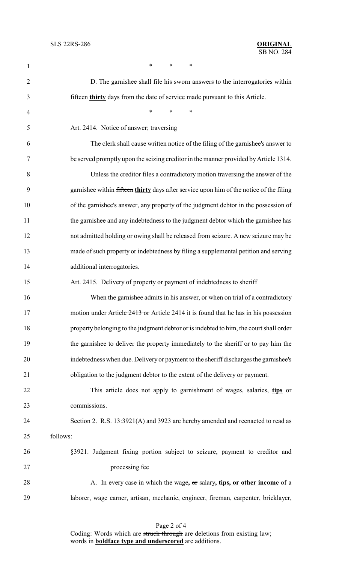| 1              | *<br>*<br>*                                                                             |
|----------------|-----------------------------------------------------------------------------------------|
| $\overline{2}$ | D. The garnishee shall file his sworn answers to the interrogatories within             |
| 3              | fifteen thirty days from the date of service made pursuant to this Article.             |
| 4              | $\ast$<br>*<br>∗                                                                        |
| 5              | Art. 2414. Notice of answer; traversing                                                 |
| 6              | The clerk shall cause written notice of the filing of the garnishee's answer to         |
| 7              | be served promptly upon the seizing creditor in the manner provided by Article 1314.    |
| 8              | Unless the creditor files a contradictory motion traversing the answer of the           |
| 9              | garnishee within fifteen thirty days after service upon him of the notice of the filing |
| 10             | of the garnishee's answer, any property of the judgment debtor in the possession of     |
| 11             | the garnishee and any indebtedness to the judgment debtor which the garnishee has       |
| 12             | not admitted holding or owing shall be released from seizure. A new seizure may be      |
| 13             | made of such property or indebtedness by filing a supplemental petition and serving     |
| 14             | additional interrogatories.                                                             |
| 15             | Art. 2415. Delivery of property or payment of indebtedness to sheriff                   |
| 16             | When the garnishee admits in his answer, or when on trial of a contradictory            |
| 17             | motion under Article 2413 or Article 2414 it is found that he has in his possession     |
| 18             | property belonging to the judgment debtor or is indebted to him, the court shall order  |
| 19             | the garnishee to deliver the property immediately to the sheriff or to pay him the      |
| 20             | indebtedness when due. Delivery or payment to the sheriff discharges the garnishee's    |
| 21             | obligation to the judgment debtor to the extent of the delivery or payment.             |
| 22             | This article does not apply to garnishment of wages, salaries, tips or                  |
| 23             | commissions.                                                                            |
| 24             | Section 2. R.S. 13:3921(A) and 3923 are hereby amended and reenacted to read as         |
| 25             | follows:                                                                                |
| 26             | §3921. Judgment fixing portion subject to seizure, payment to creditor and              |
| 27             | processing fee                                                                          |
| 28             | A. In every case in which the wage, or salary, tips, or other income of a               |
| 29             | laborer, wage earner, artisan, mechanic, engineer, fireman, carpenter, bricklayer,      |

Page 2 of 4 Coding: Words which are struck through are deletions from existing law; words in **boldface type and underscored** are additions.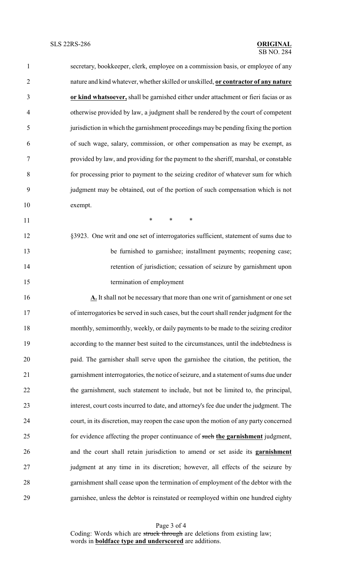| $\mathbf{1}$   | secretary, bookkeeper, clerk, employee on a commission basis, or employee of any        |
|----------------|-----------------------------------------------------------------------------------------|
| $\overline{2}$ | nature and kind whatever, whether skilled or unskilled, or contractor of any nature     |
| 3              | or kind whatsoever, shall be garnished either under attachment or fieri facias or as    |
| $\overline{4}$ | otherwise provided by law, a judgment shall be rendered by the court of competent       |
| 5              | jurisdiction in which the garnishment proceedings may be pending fixing the portion     |
| 6              | of such wage, salary, commission, or other compensation as may be exempt, as            |
| 7              | provided by law, and providing for the payment to the sheriff, marshal, or constable    |
| 8              | for processing prior to payment to the seizing creditor of whatever sum for which       |
| 9              | judgment may be obtained, out of the portion of such compensation which is not          |
| 10             | exempt.                                                                                 |
| 11             | $*$ $*$<br>$\ast$<br>$\ast$                                                             |
| 12             | §3923. One writ and one set of interrogatories sufficient, statement of sums due to     |
| 13             | be furnished to garnishee; installment payments; reopening case;                        |
| 14             | retention of jurisdiction; cessation of seizure by garnishment upon                     |
| 15             | termination of employment                                                               |
| 16             | $\Delta$ . It shall not be necessary that more than one writ of garnishment or one set  |
| 17             | of interrogatories be served in such cases, but the court shall render judgment for the |
| 18             | monthly, semimonthly, weekly, or daily payments to be made to the seizing creditor      |
| 19             | according to the manner best suited to the circumstances, until the indebtedness is     |
| 20             | paid. The garnisher shall serve upon the garnishee the citation, the petition, the      |
| 21             | garnishment interrogatories, the notice of seizure, and a statement of sums due under   |
| 22             | the garnishment, such statement to include, but not be limited to, the principal,       |
| 23             | interest, court costs incurred to date, and attorney's fee due under the judgment. The  |

 court, in its discretion, may reopen the case upon the motion of any party concerned for evidence affecting the proper continuance of such **the garnishment** judgment, and the court shall retain jurisdiction to amend or set aside its **garnishment** judgment at any time in its discretion; however, all effects of the seizure by garnishment shall cease upon the termination of employment of the debtor with the garnishee, unless the debtor is reinstated or reemployed within one hundred eighty

Page 3 of 4 Coding: Words which are struck through are deletions from existing law; words in **boldface type and underscored** are additions.